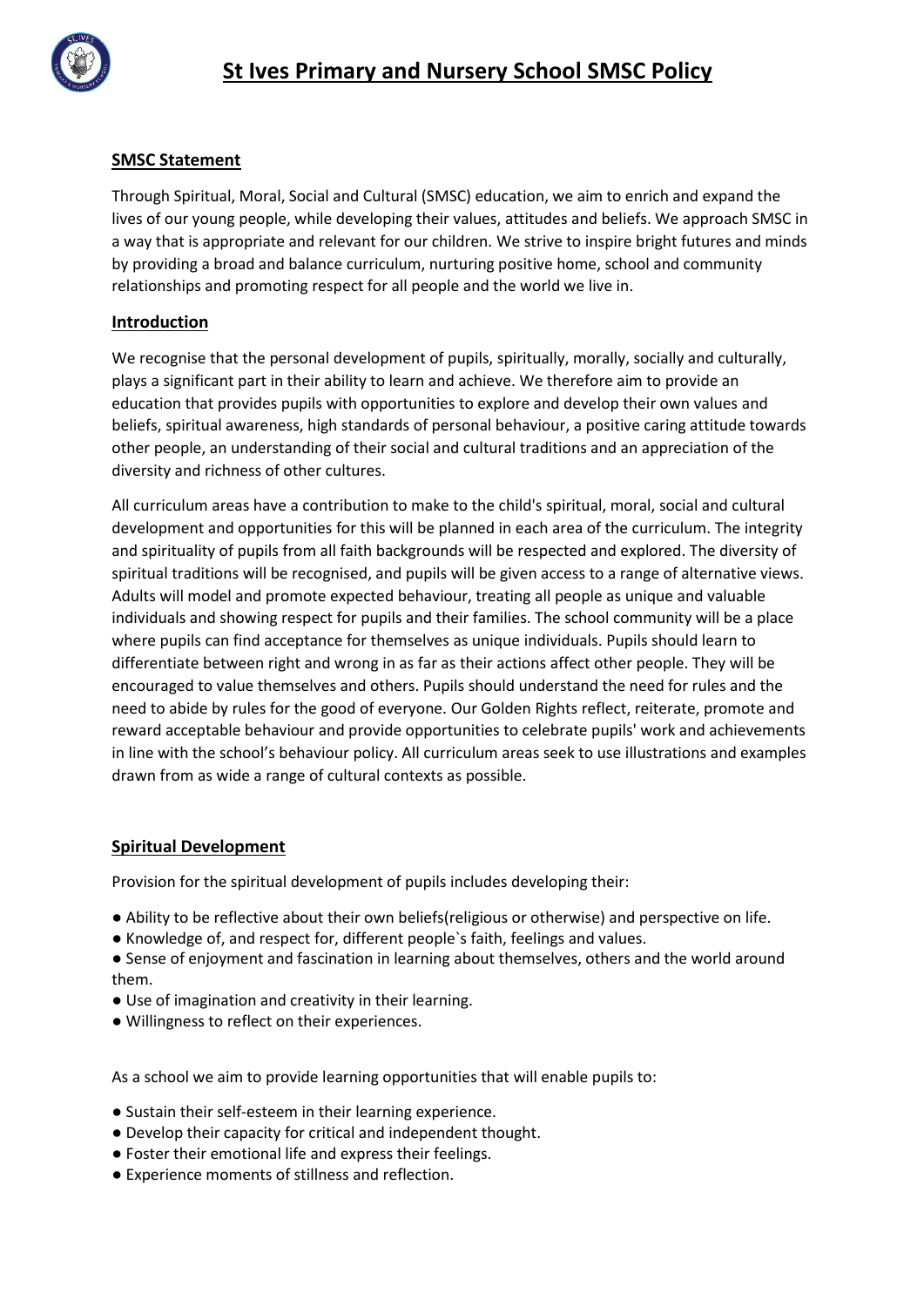

# **SMSC Statement**

Through Spiritual, Moral, Social and Cultural (SMSC) education, we aim to enrich and expand the lives of our young people, while developing their values, attitudes and beliefs. We approach SMSC in a way that is appropriate and relevant for our children. We strive to inspire bright futures and minds by providing a broad and balance curriculum, nurturing positive home, school and community relationships and promoting respect for all people and the world we live in.

## **Introduction**

We recognise that the personal development of pupils, spiritually, morally, socially and culturally, plays a significant part in their ability to learn and achieve. We therefore aim to provide an education that provides pupils with opportunities to explore and develop their own values and beliefs, spiritual awareness, high standards of personal behaviour, a positive caring attitude towards other people, an understanding of their social and cultural traditions and an appreciation of the diversity and richness of other cultures.

All curriculum areas have a contribution to make to the child's spiritual, moral, social and cultural development and opportunities for this will be planned in each area of the curriculum. The integrity and spirituality of pupils from all faith backgrounds will be respected and explored. The diversity of spiritual traditions will be recognised, and pupils will be given access to a range of alternative views. Adults will model and promote expected behaviour, treating all people as unique and valuable individuals and showing respect for pupils and their families. The school community will be a place where pupils can find acceptance for themselves as unique individuals. Pupils should learn to differentiate between right and wrong in as far as their actions affect other people. They will be encouraged to value themselves and others. Pupils should understand the need for rules and the need to abide by rules for the good of everyone. Our Golden Rights reflect, reiterate, promote and reward acceptable behaviour and provide opportunities to celebrate pupils' work and achievements in line with the school's behaviour policy. All curriculum areas seek to use illustrations and examples drawn from as wide a range of cultural contexts as possible.

#### **Spiritual Development**

Provision for the spiritual development of pupils includes developing their:

- Ability to be reflective about their own beliefs(religious or otherwise) and perspective on life.
- Knowledge of, and respect for, different people`s faith, feelings and values.
- Sense of enjoyment and fascination in learning about themselves, others and the world around them.
- Use of imagination and creativity in their learning.
- Willingness to reflect on their experiences.

As a school we aim to provide learning opportunities that will enable pupils to:

- Sustain their self-esteem in their learning experience.
- Develop their capacity for critical and independent thought.
- Foster their emotional life and express their feelings.
- Experience moments of stillness and reflection.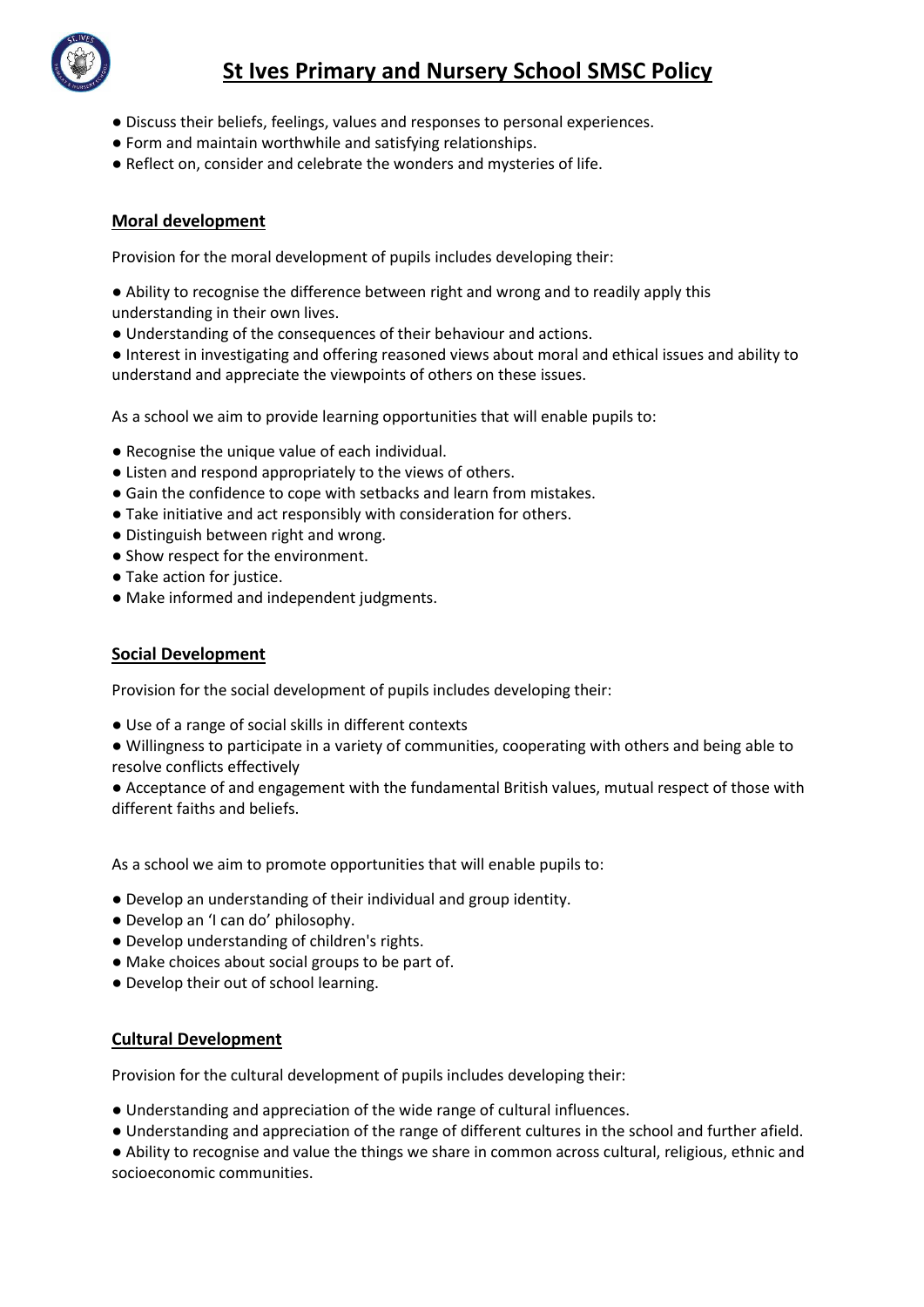

# **St Ives Primary and Nursery School SMSC Policy**

- Discuss their beliefs, feelings, values and responses to personal experiences.
- Form and maintain worthwhile and satisfying relationships.
- Reflect on, consider and celebrate the wonders and mysteries of life.

### **Moral development**

Provision for the moral development of pupils includes developing their:

- Ability to recognise the difference between right and wrong and to readily apply this understanding in their own lives.
- Understanding of the consequences of their behaviour and actions.

● Interest in investigating and offering reasoned views about moral and ethical issues and ability to understand and appreciate the viewpoints of others on these issues.

As a school we aim to provide learning opportunities that will enable pupils to:

- Recognise the unique value of each individual.
- Listen and respond appropriately to the views of others.
- Gain the confidence to cope with setbacks and learn from mistakes.
- Take initiative and act responsibly with consideration for others.
- Distinguish between right and wrong.
- Show respect for the environment.
- Take action for justice.
- Make informed and independent judgments.

#### **Social Development**

Provision for the social development of pupils includes developing their:

- Use of a range of social skills in different contexts
- Willingness to participate in a variety of communities, cooperating with others and being able to resolve conflicts effectively
- Acceptance of and engagement with the fundamental British values, mutual respect of those with different faiths and beliefs.

As a school we aim to promote opportunities that will enable pupils to:

- Develop an understanding of their individual and group identity.
- Develop an 'I can do' philosophy.
- Develop understanding of children's rights.
- Make choices about social groups to be part of.
- Develop their out of school learning.

#### **Cultural Development**

Provision for the cultural development of pupils includes developing their:

- Understanding and appreciation of the wide range of cultural influences.
- Understanding and appreciation of the range of different cultures in the school and further afield.

● Ability to recognise and value the things we share in common across cultural, religious, ethnic and socioeconomic communities.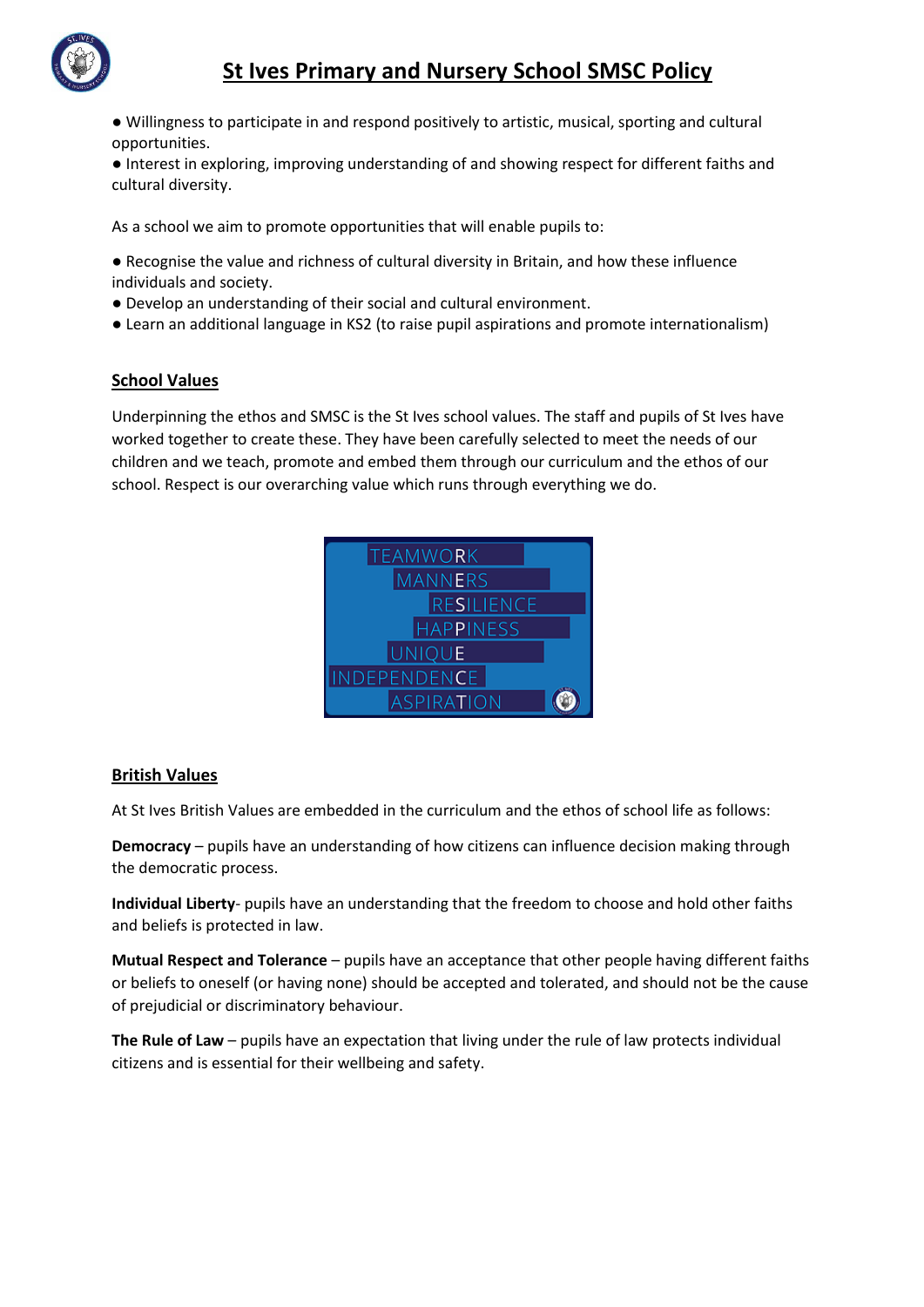

● Willingness to participate in and respond positively to artistic, musical, sporting and cultural opportunities.

● Interest in exploring, improving understanding of and showing respect for different faiths and cultural diversity.

As a school we aim to promote opportunities that will enable pupils to:

- Recognise the value and richness of cultural diversity in Britain, and how these influence individuals and society.
- Develop an understanding of their social and cultural environment.
- Learn an additional language in KS2 (to raise pupil aspirations and promote internationalism)

## **School Values**

Underpinning the ethos and SMSC is the St Ives school values. The staff and pupils of St Ives have worked together to create these. They have been carefully selected to meet the needs of our children and we teach, promote and embed them through our curriculum and the ethos of our school. Respect is our overarching value which runs through everything we do.



## **British Values**

At St Ives British Values are embedded in the curriculum and the ethos of school life as follows:

**Democracy** – pupils have an understanding of how citizens can influence decision making through the democratic process.

**Individual Liberty**- pupils have an understanding that the freedom to choose and hold other faiths and beliefs is protected in law.

**Mutual Respect and Tolerance** – pupils have an acceptance that other people having different faiths or beliefs to oneself (or having none) should be accepted and tolerated, and should not be the cause of prejudicial or discriminatory behaviour.

**The Rule of Law** – pupils have an expectation that living under the rule of law protects individual citizens and is essential for their wellbeing and safety.